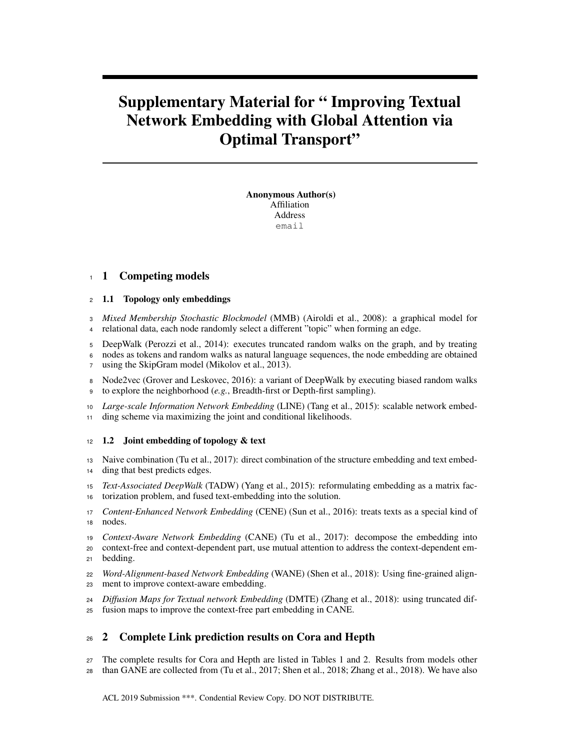# Supplementary Material for " Improving Textual Network Embedding with Global Attention via Optimal Transport"

Anonymous Author(s) Affiliation Address email

## 1 Competing models

## 1.1 Topology only embeddings

- *Mixed Membership Stochastic Blockmodel* (MMB) (Airoldi et al., 2008): a graphical model for relational data, each node randomly select a different "topic" when forming an edge.
- DeepWalk (Perozzi et al., 2014): executes truncated random walks on the graph, and by treating nodes as tokens and random walks as natural language sequences, the node embedding are obtained
- using the SkipGram model (Mikolov et al., 2013).
- Node2vec (Grover and Leskovec, 2016): a variant of DeepWalk by executing biased random walks to explore the neighborhood (*e.g.*, Breadth-first or Depth-first sampling).
- *Large-scale Information Network Embedding* (LINE) (Tang et al., 2015): scalable network embed-ding scheme via maximizing the joint and conditional likelihoods.

## 12 1.2 Joint embedding of topology & text

- Naive combination (Tu et al., 2017): direct combination of the structure embedding and text embed-ding that best predicts edges.
- *Text-Associated DeepWalk* (TADW) (Yang et al., 2015): reformulating embedding as a matrix fac-torization problem, and fused text-embedding into the solution.
- *Content-Enhanced Network Embedding* (CENE) (Sun et al., 2016): treats texts as a special kind of nodes.
- *Context-Aware Network Embedding* (CANE) (Tu et al., 2017): decompose the embedding into
- context-free and context-dependent part, use mutual attention to address the context-dependent em-bedding.
- *Word-Alignment-based Network Embedding* (WANE) (Shen et al., 2018): Using fine-grained align-ment to improve context-aware embedding.
- *Diffusion Maps for Textual network Embedding* (DMTE) (Zhang et al., 2018): using truncated dif-
- fusion maps to improve the context-free part embedding in CANE.

## 2 Complete Link prediction results on Cora and Hepth

 The complete results for Cora and Hepth are listed in Tables 1 and 2. Results from models other than GANE are collected from (Tu et al., 2017; Shen et al., 2018; Zhang et al., 2018). We have also

ACL 2019 Submission \*\*\*. Condential Review Copy. DO NOT DISTRIBUTE.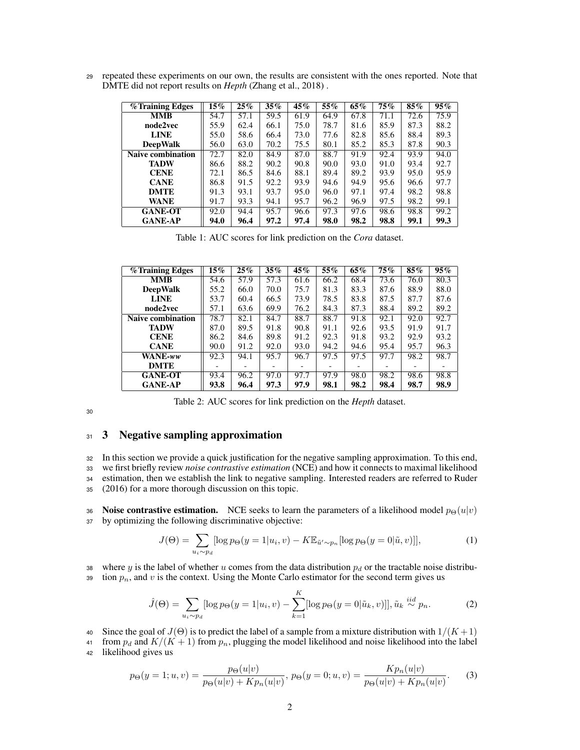<sup>29</sup> repeated these experiments on our own, the results are consistent with the ones reported. Note that DMTE did not report results on *Hepth* (Zhang et al., 2018) .

| $\sqrt{\frac{1}{2}}$ Training Edges | $15\%$ | $25\%$ | $35\%$ | 45%  | 55%  | 65%  | 75%  | 85%  | $95\%$ |
|-------------------------------------|--------|--------|--------|------|------|------|------|------|--------|
| <b>MMB</b>                          | 54.7   | 57.1   | 59.5   | 61.9 | 64.9 | 67.8 | 71.1 | 72.6 | 75.9   |
| node2vec                            | 55.9   | 62.4   | 66.1   | 75.0 | 78.7 | 81.6 | 85.9 | 87.3 | 88.2   |
| <b>LINE</b>                         | 55.0   | 58.6   | 66.4   | 73.0 | 77.6 | 82.8 | 85.6 | 88.4 | 89.3   |
| <b>DeepWalk</b>                     | 56.0   | 63.0   | 70.2   | 75.5 | 80.1 | 85.2 | 85.3 | 87.8 | 90.3   |
| <b>Naive combination</b>            | 72.7   | 82.0   | 84.9   | 87.0 | 88.7 | 91.9 | 92.4 | 93.9 | 94.0   |
| <b>TADW</b>                         | 86.6   | 88.2   | 90.2   | 90.8 | 90.0 | 93.0 | 91.0 | 93.4 | 92.7   |
| <b>CENE</b>                         | 72.1   | 86.5   | 84.6   | 88.1 | 89.4 | 89.2 | 93.9 | 95.0 | 95.9   |
| <b>CANE</b>                         | 86.8   | 91.5   | 92.2   | 93.9 | 94.6 | 94.9 | 95.6 | 96.6 | 97.7   |
| <b>DMTE</b>                         | 91.3   | 93.1   | 93.7   | 95.0 | 96.0 | 97.1 | 97.4 | 98.2 | 98.8   |
| <b>WANE</b>                         | 91.7   | 93.3   | 94.1   | 95.7 | 96.2 | 96.9 | 97.5 | 98.2 | 99.1   |
| <b>GANE-OT</b>                      | 92.0   | 94.4   | 95.7   | 96.6 | 97.3 | 97.6 | 98.6 | 98.8 | 99.2   |
| <b>GANE-AP</b>                      | 94.0   | 96.4   | 97.2   | 97.4 | 98.0 | 98.2 | 98.8 | 99.1 | 99.3   |

Table 1: AUC scores for link prediction on the *Cora* dataset.

| % Training Edges         | $15\%$ | $25\%$ | $35\%$ | 45%  | 55%  | 65%  | 75%  | 85%  | $95\%$ |
|--------------------------|--------|--------|--------|------|------|------|------|------|--------|
| <b>MMB</b>               | 54.6   | 57.9   | 57.3   | 61.6 | 66.2 | 68.4 | 73.6 | 76.0 | 80.3   |
| <b>DeepWalk</b>          | 55.2   | 66.0   | 70.0   | 75.7 | 81.3 | 83.3 | 87.6 | 88.9 | 88.0   |
| <b>LINE</b>              | 53.7   | 60.4   | 66.5   | 73.9 | 78.5 | 83.8 | 87.5 | 87.7 | 87.6   |
| node2vec                 | 57.1   | 63.6   | 69.9   | 76.2 | 84.3 | 87.3 | 88.4 | 89.2 | 89.2   |
| <b>Naive combination</b> | 78.7   | 82.1   | 84.7   | 88.7 | 88.7 | 91.8 | 92.1 | 92.0 | 92.7   |
| <b>TADW</b>              | 87.0   | 89.5   | 91.8   | 90.8 | 91.1 | 92.6 | 93.5 | 91.9 | 91.7   |
| <b>CENE</b>              | 86.2   | 84.6   | 89.8   | 91.2 | 92.3 | 91.8 | 93.2 | 92.9 | 93.2   |
| <b>CANE</b>              | 90.0   | 91.2   | 92.0   | 93.0 | 94.2 | 94.6 | 95.4 | 95.7 | 96.3   |
| WANE-ww                  | 92.3   | 94.1   | 95.7   | 96.7 | 97.5 | 97.5 | 97.7 | 98.2 | 98.7   |
| <b>DMTE</b>              |        |        |        |      |      |      |      |      |        |
| <b>GANE-OT</b>           | 93.4   | 96.2   | 97.0   | 97.7 | 97.9 | 98.0 | 98.2 | 98.6 | 98.8   |
| <b>GANE-AP</b>           | 93.8   | 96.4   | 97.3   | 97.9 | 98.1 | 98.2 | 98.4 | 98.7 | 98.9   |

Table 2: AUC scores for link prediction on the *Hepth* dataset.

30

## 31 3 Negative sampling approximation

 In this section we provide a quick justification for the negative sampling approximation. To this end, we first briefly review *noise contrastive estimation* (NCE) and how it connects to maximal likelihood estimation, then we establish the link to negative sampling. Interested readers are referred to Ruder (2016) for a more thorough discussion on this topic.

36 Noise contrastive estimation. NCE seeks to learn the parameters of a likelihood model  $p_{\Theta}(u|v)$ <sup>37</sup> by optimizing the following discriminative objective:

$$
J(\Theta) = \sum_{u_i \sim p_d} [\log p_{\Theta}(y=1|u_i, v) - K \mathbb{E}_{\tilde{u}' \sim p_n} [\log p_{\Theta}(y=0|\tilde{u}, v)]],
$$
 (1)

38 where y is the label of whether u comes from the data distribution  $p_d$  or the tractable noise distribu-39 tion  $p_n$ , and v is the context. Using the Monte Carlo estimator for the second term gives us

$$
\hat{J}(\Theta) = \sum_{u_i \sim p_d} [\log p_{\Theta}(y = 1 | u_i, v) - \sum_{k=1}^{K} [\log p_{\Theta}(y = 0 | \tilde{u}_k, v)]], \tilde{u}_k \stackrel{iid}{\sim} p_n.
$$
 (2)

40 Since the goal of  $J(\Theta)$  is to predict the label of a sample from a mixture distribution with  $1/(K+1)$ 

41 from  $p_d$  and  $K/(K+1)$  from  $p_n$ , plugging the model likelihood and noise likelihood into the label <sup>42</sup> likelihood gives us

$$
p_{\Theta}(y=1;u,v) = \frac{p_{\Theta}(u|v)}{p_{\Theta}(u|v) + K p_n(u|v)}, \ p_{\Theta}(y=0;u,v) = \frac{K p_n(u|v)}{p_{\Theta}(u|v) + K p_n(u|v)}.
$$
 (3)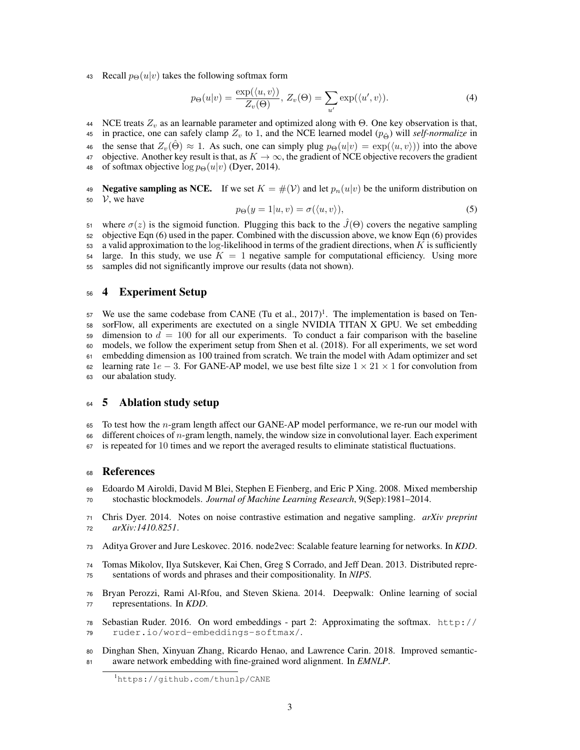43 Recall  $p_{\Theta}(u|v)$  takes the following softmax form

$$
p_{\Theta}(u|v) = \frac{\exp(\langle u, v \rangle)}{Z_v(\Theta)}, Z_v(\Theta) = \sum_{u'} \exp(\langle u', v \rangle).
$$
 (4)

44 NCE treats  $Z_v$  as an learnable parameter and optimized along with Θ. One key observation is that,

45 in practice, one can safely clamp  $Z_v$  to 1, and the NCE learned model  $(p_{\hat{\Theta}})$  will *self-normalize* in

46 the sense that  $Z_v(\hat{\Theta}) \approx 1$ . As such, one can simply plug  $p_{\Theta}(u|v) = \exp(\langle u, v \rangle)$  into the above

47 objective. Another key result is that, as  $K \to \infty$ , the gradient of NCE objective recovers the gradient 48 of softmax objective  $\log p_{\Theta}(u|v)$  (Dyer, 2014).

49 Negative sampling as NCE. If we set  $K = \#(\mathcal{V})$  and let  $p_n(u|v)$  be the uniform distribution on

 $50 \quad V$ , we have

$$
p_{\Theta}(y=1|u,v) = \sigma(\langle u,v \rangle), \tag{5}
$$

there  $\sigma(z)$  is the sigmoid function. Plugging this back to the  $\hat{J}(\Theta)$  covers the negative sampling objective Eqn (6) used in the paper. Combined with the discussion above, we know Eqn (6) provides a valid approximation to the log-likelihood in terms of the gradient directions, when K is sufficiently large. In this study, we use  $K = 1$  negative sample for computational efficiency. Using more samples did not significantly improve our results (data not shown).

## 4 Experiment Setup

57 We use the same codebase from CANE (Tu et al., )<sup>1</sup>. The implementation is based on Ten- sorFlow, all experiments are exectuted on a single NVIDIA TITAN X GPU. We set embedding dimension to  $d = 100$  for all our experiments. To conduct a fair comparison with the baseline models, we follow the experiment setup from Shen et al. (2018). For all experiments, we set word embedding dimension as 100 trained from scratch. We train the model with Adam optimizer and set 62 learning rate  $1e - 3$ . For GANE-AP model, we use best filte size  $1 \times 21 \times 1$  for convolution from our abalation study.

## <sup>64</sup> 5 Ablation study setup

To test how the *n*-gram length affect our GANE-AP model performance, we re-run our model with

 different choices of n-gram length, namely, the window size in convolutional layer. Each experiment is repeated for 10 times and we report the averaged results to eliminate statistical fluctuations.

## References

 Edoardo M Airoldi, David M Blei, Stephen E Fienberg, and Eric P Xing. 2008. Mixed membership stochastic blockmodels. *Journal of Machine Learning Research*, 9(Sep):1981–2014.

 Chris Dyer. 2014. Notes on noise contrastive estimation and negative sampling. *arXiv preprint arXiv:1410.8251*.

- Aditya Grover and Jure Leskovec. 2016. node2vec: Scalable feature learning for networks. In *KDD*.
- Tomas Mikolov, Ilya Sutskever, Kai Chen, Greg S Corrado, and Jeff Dean. 2013. Distributed repre-sentations of words and phrases and their compositionality. In *NIPS*.
- Bryan Perozzi, Rami Al-Rfou, and Steven Skiena. 2014. Deepwalk: Online learning of social representations. In *KDD*.
- Sebastian Ruder. 2016. On word embeddings part 2: Approximating the softmax. http:// ruder.io/word-embeddings-softmax/.
- Dinghan Shen, Xinyuan Zhang, Ricardo Henao, and Lawrence Carin. 2018. Improved semantic-aware network embedding with fine-grained word alignment. In *EMNLP*.

https://github.com/thunlp/CANE